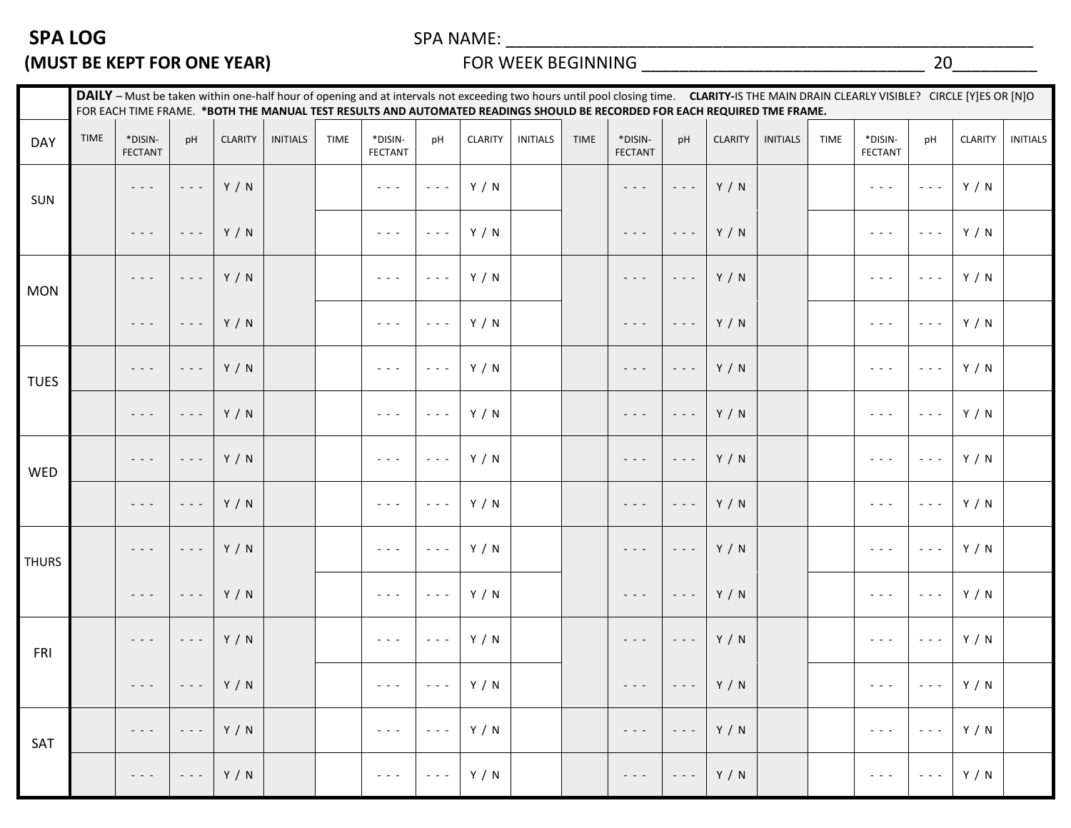## **SPA LOG** SPA NAME: \_\_\_\_\_\_\_\_\_\_\_\_\_\_\_\_\_\_\_\_\_\_\_\_\_\_\_\_\_\_\_\_\_\_\_\_\_\_\_\_\_\_\_\_\_\_\_\_\_\_\_\_\_\_\_\_

## **(MUST BE KEPT FOR ONE YEAR)** FOR WEEK BEGINNING \_\_\_\_\_\_\_\_\_\_\_\_\_\_\_\_\_\_\_\_\_\_\_\_\_\_\_\_\_\_ 20\_\_\_\_\_\_\_\_\_

|              | DAILY - Must be taken within one-half hour of opening and at intervals not exceeding two hours until pool closing time. CLARITY-IS THE MAIN DRAIN CLEARLY VISIBLE? CIRCLE [Y]ES OR [N]O<br>FOR EACH TIME FRAME. *BOTH THE MANUAL TEST RESULTS AND AUTOMATED READINGS SHOULD BE RECORDED FOR EACH REQUIRED TME FRAME. |                                                                                                                                                                                                              |                                                                                                                           |                |                 |             |                                                           |                                                           |                |                 |             |                                                                                                                                                                                                              |                                                                                                                           |                |                 |             |                                                                                                                        |                                             |                |                 |
|--------------|----------------------------------------------------------------------------------------------------------------------------------------------------------------------------------------------------------------------------------------------------------------------------------------------------------------------|--------------------------------------------------------------------------------------------------------------------------------------------------------------------------------------------------------------|---------------------------------------------------------------------------------------------------------------------------|----------------|-----------------|-------------|-----------------------------------------------------------|-----------------------------------------------------------|----------------|-----------------|-------------|--------------------------------------------------------------------------------------------------------------------------------------------------------------------------------------------------------------|---------------------------------------------------------------------------------------------------------------------------|----------------|-----------------|-------------|------------------------------------------------------------------------------------------------------------------------|---------------------------------------------|----------------|-----------------|
| <b>DAY</b>   | TIME                                                                                                                                                                                                                                                                                                                 | *DISIN-<br><b>FECTANT</b>                                                                                                                                                                                    | pH                                                                                                                        | <b>CLARITY</b> | <b>INITIALS</b> | <b>TIME</b> | *DISIN-<br><b>FECTANT</b>                                 | pH                                                        | <b>CLARITY</b> | <b>INITIALS</b> | <b>TIME</b> | *DISIN-<br><b>FECTANT</b>                                                                                                                                                                                    | pH                                                                                                                        | <b>CLARITY</b> | <b>INITIALS</b> | <b>TIME</b> | *DISIN-<br><b>FECTANT</b>                                                                                              | pH                                          | <b>CLARITY</b> | <b>INITIALS</b> |
| SUN          |                                                                                                                                                                                                                                                                                                                      | $\frac{1}{2} \left( \frac{1}{2} \right) \left( \frac{1}{2} \right) \left( \frac{1}{2} \right)$                                                                                                               | $\omega_{\rm{c}}$ and $\omega_{\rm{c}}$                                                                                   | Y / N          |                 |             | $\omega_{\rm{c}}$ and $\omega_{\rm{c}}$                   | $\sim$ 10 $\sim$                                          | Y / N          |                 |             | $\frac{1}{2} \left( \frac{1}{2} \right) \left( \frac{1}{2} \right) \left( \frac{1}{2} \right)$                                                                                                               | $\frac{1}{2} \left( \frac{1}{2} \right) \left( \frac{1}{2} \right) \left( \frac{1}{2} \right) \left( \frac{1}{2} \right)$ | Y / N          |                 |             | $\omega_{\rm{c}}$ and $\omega_{\rm{c}}$                                                                                | $\omega_{\rm{c}}$ and $\omega_{\rm{c}}$     | Y / N          |                 |
|              |                                                                                                                                                                                                                                                                                                                      | $\frac{1}{2} \left( \frac{1}{2} \right) \left( \frac{1}{2} \right) \left( \frac{1}{2} \right)$                                                                                                               | $\frac{1}{2} \left( \frac{1}{2} \right) \left( \frac{1}{2} \right) \left( \frac{1}{2} \right) \left( \frac{1}{2} \right)$ | Y / N          |                 |             | $\omega_{\rm{c}}$ and $\omega_{\rm{c}}$                   | $\sim$ 10 $\sim$                                          | Y / N          |                 |             | $\omega_{\rm{c}}$ , $\omega_{\rm{c}}$ , $\omega_{\rm{c}}$                                                                                                                                                    | $\sim$ $\sim$ $\sim$                                                                                                      | Y / N          |                 |             | $\sim$ $\sim$ $\sim$                                                                                                   | $\omega_{\rm{eff}}$ and $\omega_{\rm{eff}}$ | Y / N          |                 |
| <b>MON</b>   |                                                                                                                                                                                                                                                                                                                      | $\frac{1}{2} \left( \frac{1}{2} \right) \frac{1}{2} \left( \frac{1}{2} \right)$                                                                                                                              | $\frac{1}{2} \left( \frac{1}{2} \right) \frac{1}{2} \left( \frac{1}{2} \right) \frac{1}{2}$                               | Y / N          |                 |             | $\omega_{\rm{c}}$ , $\omega_{\rm{c}}$ , $\omega_{\rm{c}}$ | $\sim$ 10 $\sim$                                          | Y / N          |                 |             | $\frac{1}{2} \left( \frac{1}{2} \right) \left( \frac{1}{2} \right) \left( \frac{1}{2} \right) \left( \frac{1}{2} \right)$                                                                                    | $\sim$ $\sim$ $\sim$                                                                                                      | Y / N          |                 |             | $\sim$ $\sim$ $\sim$                                                                                                   | $\sim$ 10 $\sim$                            | Y / N          |                 |
|              |                                                                                                                                                                                                                                                                                                                      | $\frac{1}{2} \left( \frac{1}{2} \right) \frac{1}{2} \left( \frac{1}{2} \right)$                                                                                                                              | $\frac{1}{2} \left( \frac{1}{2} \right) \left( \frac{1}{2} \right) \left( \frac{1}{2} \right) \left( \frac{1}{2} \right)$ | Y / N          |                 |             | $\omega_{\rm{c}}$ and $\omega_{\rm{c}}$                   | $\sim$ 10 $\sim$                                          | Y / N          |                 |             | $\frac{1}{2} \left( \frac{1}{2} \right) \left( \frac{1}{2} \right) \left( \frac{1}{2} \right) \left( \frac{1}{2} \right)$                                                                                    | $\sim$ $\sim$ $\sim$                                                                                                      | Y / N          |                 |             | $\omega_{\rm{c}}$ and $\omega_{\rm{c}}$                                                                                | $\omega_{\rm{eff}}$ and $\omega_{\rm{eff}}$ | Y / N          |                 |
| <b>TUES</b>  |                                                                                                                                                                                                                                                                                                                      | $\frac{1}{2} \left( \frac{1}{2} \right) \left( \frac{1}{2} \right) \left( \frac{1}{2} \right)$                                                                                                               | $\frac{1}{2} \left( \frac{1}{2} \right) \left( \frac{1}{2} \right) \left( \frac{1}{2} \right) \left( \frac{1}{2} \right)$ | Y / N          |                 |             | $\omega_{\rm{c}}$ and $\omega_{\rm{c}}$                   | $\sim$ 10 $\sim$                                          | Y / N          |                 |             | $\frac{1}{2} \left( \frac{1}{2} \right) \left( \frac{1}{2} \right) \left( \frac{1}{2} \right) \left( \frac{1}{2} \right)$                                                                                    | $\sim$ $\sim$ $\sim$                                                                                                      | Y / N          |                 |             | $\sim$ $\sim$ $\sim$                                                                                                   | $\omega_{\rm c}$ and $\omega_{\rm c}$       | Y / N          |                 |
|              |                                                                                                                                                                                                                                                                                                                      | $\frac{1}{2} \left( \frac{1}{2} \right) \frac{1}{2} \left( \frac{1}{2} \right) \frac{1}{2} \left( \frac{1}{2} \right)$                                                                                       | $\frac{1}{2} \left( \frac{1}{2} \right) \left( \frac{1}{2} \right) \left( \frac{1}{2} \right) \left( \frac{1}{2} \right)$ | Y / N          |                 |             | $\omega_{\rm{c}}$ , $\omega_{\rm{c}}$ , $\omega_{\rm{c}}$ | $\omega_{\rm{c}}$ , $\omega_{\rm{c}}$ , $\omega_{\rm{c}}$ | Y / N          |                 |             | $\frac{1}{2} \left( \begin{array}{ccc} 1 & 0 & 0 \\ 0 & 0 & 0 \\ 0 & 0 & 0 \end{array} \right) = \frac{1}{2} \left( \begin{array}{ccc} 1 & 0 & 0 \\ 0 & 0 & 0 \\ 0 & 0 & 0 \\ 0 & 0 & 0 \end{array} \right)$ | $\frac{1}{2} \left( \frac{1}{2} \right) \left( \frac{1}{2} \right) \left( \frac{1}{2} \right) \left( \frac{1}{2} \right)$ | Y / N          |                 |             | $\frac{1}{2} \left( \frac{1}{2} \right) \frac{1}{2} \left( \frac{1}{2} \right) \frac{1}{2} \left( \frac{1}{2} \right)$ | $\sim$ 10 $\sim$                            | Y / N          |                 |
| WED          |                                                                                                                                                                                                                                                                                                                      | $\frac{1}{2} \left( \frac{1}{2} \right) \left( \frac{1}{2} \right) \left( \frac{1}{2} \right) \left( \frac{1}{2} \right)$                                                                                    | $\frac{1}{2} \left( \frac{1}{2} \right) \left( \frac{1}{2} \right) \left( \frac{1}{2} \right) \left( \frac{1}{2} \right)$ | Y / N          |                 |             | $\omega_{\rm{c}}$ and $\omega_{\rm{c}}$                   | $\sim$ 10 $\sim$                                          | Y / N          |                 |             | $\frac{1}{2} \left( \frac{1}{2} \right) \left( \frac{1}{2} \right) \left( \frac{1}{2} \right) \left( \frac{1}{2} \right)$                                                                                    | $\omega_{\rm{eff}}$ and $\omega_{\rm{eff}}$                                                                               | Y / N          |                 |             | $\omega_{\rm{eff}}$ and $\omega_{\rm{eff}}$                                                                            | $\omega_{\rm{eff}}$ and $\omega_{\rm{eff}}$ | Y / N          |                 |
|              |                                                                                                                                                                                                                                                                                                                      | $\frac{1}{2} \left( \frac{1}{2} \right) \left( \frac{1}{2} \right) \left( \frac{1}{2} \right)$                                                                                                               | $\sim$ $\sim$ $\sim$                                                                                                      | Y / N          |                 |             | $\omega_{\rm{c}}$ and $\omega_{\rm{c}}$                   | $\sim$ 10 $\sim$                                          | Y / N          |                 |             | $\omega_{\rm{c}}$ , $\omega_{\rm{c}}$ , $\omega_{\rm{c}}$                                                                                                                                                    | $\sim$ $\sim$ $\sim$                                                                                                      | Y / N          |                 |             | $\sim$ $\sim$ $\sim$                                                                                                   | $\sim$ 10 $\sim$                            | Y / N          |                 |
| <b>THURS</b> |                                                                                                                                                                                                                                                                                                                      | $\frac{1}{2} \left( \frac{1}{2} \right) \left( \frac{1}{2} \right) \left( \frac{1}{2} \right) \left( \frac{1}{2} \right)$                                                                                    | $\frac{1}{2} \left( \frac{1}{2} \right) \frac{1}{2} \left( \frac{1}{2} \right) \frac{1}{2}$                               | Y / N          |                 |             | $\omega_{\rm{c}}$ and $\omega_{\rm{c}}$                   | $\sim$ 10 $\sim$                                          | Y / N          |                 |             | $\frac{1}{2} \left( \frac{1}{2} \right) \left( \frac{1}{2} \right) \left( \frac{1}{2} \right) \left( \frac{1}{2} \right)$                                                                                    | $\sim$ $\sim$ $\sim$                                                                                                      | Y / N          |                 |             | $\omega_{\rm{c}}$ and $\omega_{\rm{c}}$                                                                                | $\omega_{\rm{eff}}$ and $\omega_{\rm{eff}}$ | Y / N          |                 |
|              |                                                                                                                                                                                                                                                                                                                      | $\frac{1}{2} \left( \frac{1}{2} \right) \left( \frac{1}{2} \right) \left( \frac{1}{2} \right) \left( \frac{1}{2} \right)$                                                                                    | $\frac{1}{2} \left( \frac{1}{2} \right) \frac{1}{2} \left( \frac{1}{2} \right) \frac{1}{2} \left( \frac{1}{2} \right)$    | Y / N          |                 |             | $\omega_{\rm{c}}$ and $\omega_{\rm{c}}$                   | $\omega_{\rm{c}}$ and $\omega_{\rm{c}}$                   | Y / N          |                 |             | $\omega_{\rm{c}}$ and $\omega_{\rm{c}}$                                                                                                                                                                      | $\omega_{\rm c}$ and $\omega_{\rm c}$                                                                                     | Y / N          |                 |             | $\sim$ $\sim$ $\sim$                                                                                                   | $\sim$ 10 $\sim$                            | Y / N          |                 |
| FRI          |                                                                                                                                                                                                                                                                                                                      | $\frac{1}{2} \left( \frac{1}{2} \right) \frac{1}{2} \left( \frac{1}{2} \right) \frac{1}{2} \left( \frac{1}{2} \right)$                                                                                       | $\frac{1}{2} \left( \frac{1}{2} \right) \frac{1}{2} \left( \frac{1}{2} \right) \frac{1}{2} \left( \frac{1}{2} \right)$    | Y / N          |                 |             | $\alpha$ , $\alpha$ , $\alpha$                            | $\omega_{\rm{c}}$ and $\omega_{\rm{c}}$                   | Y / N          |                 |             | $\frac{1}{2} \left( \frac{1}{2} \right) \left( \frac{1}{2} \right) \left( \frac{1}{2} \right) \left( \frac{1}{2} \right)$                                                                                    | $\sim$ $\sim$ $\sim$                                                                                                      | Y / N          |                 |             | $\sim$ 10 $\sim$ 10 $\sim$                                                                                             | $\sim$ $\sim$ $\sim$                        | Y / N          |                 |
|              |                                                                                                                                                                                                                                                                                                                      | $\sigma_{\rm c} \sigma_{\rm c} \sigma_{\rm c}$                                                                                                                                                               |                                                                                                                           | $- - -$ Y / N  |                 |             | $\mathcal{L}_{\rm{max}}$ and $\mathcal{L}_{\rm{max}}$     | $\alpha$ - $\alpha$ - $\alpha$                            | Y / N          |                 |             | $- -  - -$ Y / N                                                                                                                                                                                             |                                                                                                                           |                |                 |             | $\omega_{\rm{c}}$ and $\omega_{\rm{c}}$                                                                                | $\omega_{\rm c}$ and $\omega_{\rm c}$       | Y / N          |                 |
| SAT          |                                                                                                                                                                                                                                                                                                                      | $\frac{1}{2} \left( \begin{array}{ccc} 1 & 0 & 0 \\ 0 & 0 & 0 \\ 0 & 0 & 0 \end{array} \right) = \frac{1}{2} \left( \begin{array}{ccc} 1 & 0 & 0 \\ 0 & 0 & 0 \\ 0 & 0 & 0 \\ 0 & 0 & 0 \end{array} \right)$ | $\frac{1}{2} \left( \frac{1}{2} \right) \frac{1}{2} \left( \frac{1}{2} \right) \frac{1}{2} \left( \frac{1}{2} \right)$    | Y / N          |                 |             | $\omega_{\rm{c}}$ , $\omega_{\rm{c}}$ , $\omega_{\rm{c}}$ | $\omega_{\rm{c}}$ and $\omega_{\rm{c}}$                   | Y / N          |                 |             | $\frac{1}{2} \left( \frac{1}{2} \right) \left( \frac{1}{2} \right) \left( \frac{1}{2} \right) \left( \frac{1}{2} \right)$                                                                                    | $\frac{1}{2} \left( \frac{1}{2} \right) \left( \frac{1}{2} \right) \left( \frac{1}{2} \right) \left( \frac{1}{2} \right)$ | Y / N          |                 |             | $\sim$ $\sim$ $\sim$                                                                                                   | $\omega_{\rm{c}}$ and $\omega_{\rm{c}}$     | Y / N          |                 |
|              |                                                                                                                                                                                                                                                                                                                      | $\frac{1}{2} \left( \frac{1}{2} \right) \left( \frac{1}{2} \right) \left( \frac{1}{2} \right) \left( \frac{1}{2} \right)$                                                                                    | $\sim$ $\sim$ $\sim$                                                                                                      | Y / N          |                 |             | $\omega_{\rm{eff}}$ and $\omega_{\rm{eff}}$               | $\omega_{\rm{c}}$ and $\omega_{\rm{c}}$                   | Y / N          |                 |             | $\frac{1}{2} \left( \frac{1}{2} \right) \left( \frac{1}{2} \right) \left( \frac{1}{2} \right) \left( \frac{1}{2} \right)$                                                                                    | $\sim$ $\sim$ $\sim$                                                                                                      | Y / N          |                 |             | $\omega_{\rm{c}}$ , $\omega_{\rm{c}}$ , $\omega_{\rm{c}}$                                                              | $\omega_{\rm{eff}}$ and $\omega_{\rm{eff}}$ | Y / N          |                 |